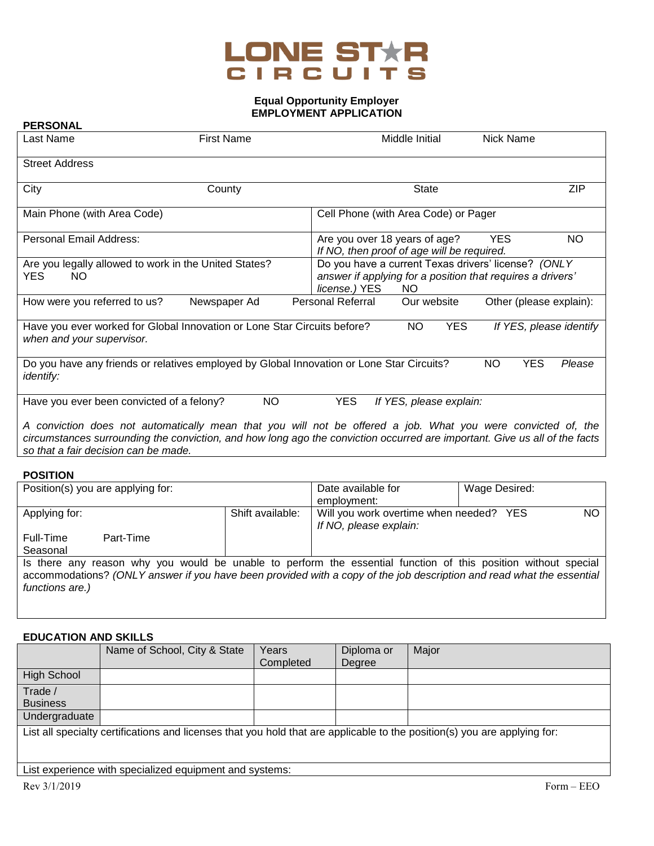

## **Equal Opportunity Employer EMPLOYMENT APPLICATION**

| <b>PERSONAL</b>                                                            |                                                                                           |                                                                                                                                                                                                                                            |                             |
|----------------------------------------------------------------------------|-------------------------------------------------------------------------------------------|--------------------------------------------------------------------------------------------------------------------------------------------------------------------------------------------------------------------------------------------|-----------------------------|
| Last Name                                                                  | <b>First Name</b>                                                                         | Middle Initial                                                                                                                                                                                                                             | Nick Name                   |
| <b>Street Address</b>                                                      |                                                                                           |                                                                                                                                                                                                                                            |                             |
| City                                                                       | County                                                                                    | <b>State</b>                                                                                                                                                                                                                               | ZIP                         |
| Main Phone (with Area Code)                                                |                                                                                           | Cell Phone (with Area Code) or Pager                                                                                                                                                                                                       |                             |
| Personal Email Address:                                                    |                                                                                           | Are you over 18 years of age?<br>If NO, then proof of age will be required.                                                                                                                                                                | <b>NO</b><br><b>YES</b>     |
| Are you legally allowed to work in the United States?<br>NO.<br><b>YES</b> |                                                                                           | Do you have a current Texas drivers' license? (ONLY<br>answer if applying for a position that requires a drivers'<br>license.) YES<br>NO.                                                                                                  |                             |
| How were you referred to us?                                               | Newspaper Ad                                                                              | Our website<br>Personal Referral                                                                                                                                                                                                           | Other (please explain):     |
| when and your supervisor.                                                  | Have you ever worked for Global Innovation or Lone Star Circuits before?                  | <b>YES</b><br><b>NO</b>                                                                                                                                                                                                                    | If YES, please identify     |
| <i>identify:</i>                                                           | Do you have any friends or relatives employed by Global Innovation or Lone Star Circuits? |                                                                                                                                                                                                                                            | <b>YES</b><br>NO.<br>Please |
| Have you ever been convicted of a felony?                                  | <b>NO</b>                                                                                 | <b>YES</b><br>If YES, please explain:                                                                                                                                                                                                      |                             |
|                                                                            |                                                                                           | A conviction does not automatically mean that you will not be offered a job. What you were convicted of, the<br>circumstances surrounding the conviction, and how long ago the conviction occurred are important. Give us all of the facts |                             |

*so that a fair decision can be made.*

## **POSITION**

| Position(s) you are applying for:                                                                                     |                  | Date available for                      |               |  |  |
|-----------------------------------------------------------------------------------------------------------------------|------------------|-----------------------------------------|---------------|--|--|
|                                                                                                                       |                  |                                         | Wage Desired: |  |  |
|                                                                                                                       |                  | employment:                             |               |  |  |
| Applying for:                                                                                                         | Shift available: | Will you work overtime when needed? YES | NO.           |  |  |
|                                                                                                                       |                  | If NO, please explain:                  |               |  |  |
| Full-Time<br>Part-Time                                                                                                |                  |                                         |               |  |  |
| Seasonal                                                                                                              |                  |                                         |               |  |  |
| Is there any reason why you would be unable to perform the essential function of this position without special        |                  |                                         |               |  |  |
| accommodations? (ONLY answer if you have been provided with a copy of the job description and read what the essential |                  |                                         |               |  |  |
| functions are.)                                                                                                       |                  |                                         |               |  |  |
|                                                                                                                       |                  |                                         |               |  |  |

## **EDUCATION AND SKILLS**

|                                                                                                                           | Name of School, City & State | Years     | Diploma or | Major        |  |  |
|---------------------------------------------------------------------------------------------------------------------------|------------------------------|-----------|------------|--------------|--|--|
|                                                                                                                           |                              | Completed | Degree     |              |  |  |
| <b>High School</b>                                                                                                        |                              |           |            |              |  |  |
| Trade /                                                                                                                   |                              |           |            |              |  |  |
| <b>Business</b>                                                                                                           |                              |           |            |              |  |  |
| Undergraduate                                                                                                             |                              |           |            |              |  |  |
| List all specialty certifications and licenses that you hold that are applicable to the position(s) you are applying for: |                              |           |            |              |  |  |
|                                                                                                                           |                              |           |            |              |  |  |
|                                                                                                                           |                              |           |            |              |  |  |
| List experience with specialized equipment and systems:                                                                   |                              |           |            |              |  |  |
| $Rev\frac{3}{1}{2019}$                                                                                                    |                              |           |            | $Form - EEO$ |  |  |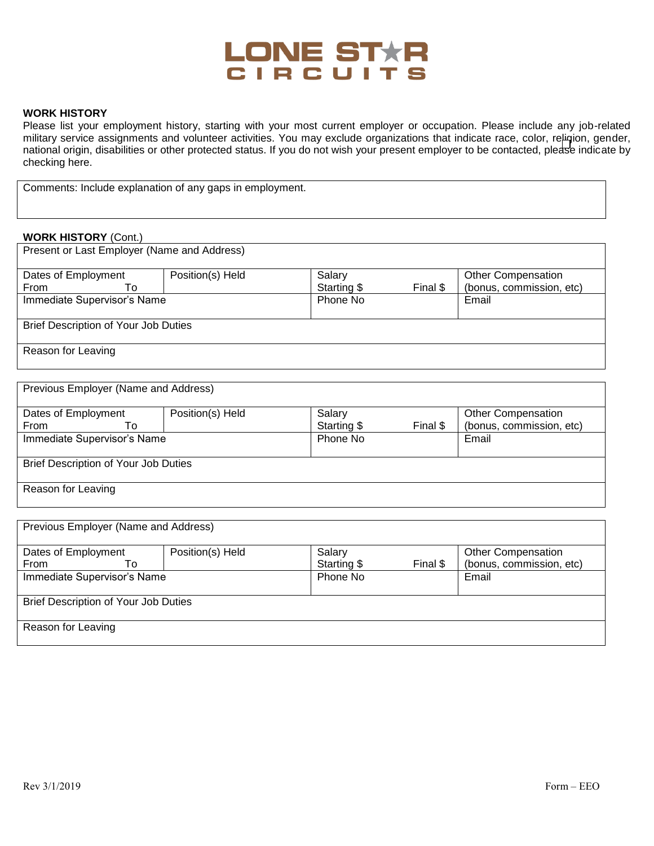# **LONE STXI** CIRCUITS

## **WORK HISTORY**

Please list your employment history, starting with your most current employer or occupation. Please include any job-related military service assignments and volunteer activities. You may exclude organizations that indicate race, color, religion, gender, national origin, disabilities or other protected status. If you do not wish your present employer to be contacted, please indicate by checking here.

Comments: Include explanation of any gaps in employment.

## **WORK HISTORY** (Cont.)

| Present or Last Employer (Name and Address) |                  |             |          |                           |  |  |
|---------------------------------------------|------------------|-------------|----------|---------------------------|--|--|
| Dates of Employment                         | Position(s) Held | Salary      |          | <b>Other Compensation</b> |  |  |
| <b>From</b><br>To                           |                  | Starting \$ | Final \$ | (bonus, commission, etc)  |  |  |
| Immediate Supervisor's Name                 |                  | Phone No    |          | Email                     |  |  |
| Brief Description of Your Job Duties        |                  |             |          |                           |  |  |
| Reason for Leaving                          |                  |             |          |                           |  |  |

| Previous Employer (Name and Address) |                  |             |          |                           |  |
|--------------------------------------|------------------|-------------|----------|---------------------------|--|
| Dates of Employment                  | Position(s) Held | Salary      |          | <b>Other Compensation</b> |  |
| <b>From</b><br>To                    |                  | Starting \$ | Final \$ | (bonus, commission, etc)  |  |
| Immediate Supervisor's Name          |                  | Phone No    |          | Email                     |  |
| Brief Description of Your Job Duties |                  |             |          |                           |  |
| Reason for Leaving                   |                  |             |          |                           |  |

| Previous Employer (Name and Address) |                  |             |          |                           |  |
|--------------------------------------|------------------|-------------|----------|---------------------------|--|
| Dates of Employment                  | Position(s) Held | Salary      |          | <b>Other Compensation</b> |  |
| From<br>To                           |                  | Starting \$ | Final \$ | (bonus, commission, etc)  |  |
| Immediate Supervisor's Name          |                  | Phone No    |          | Email                     |  |
| Brief Description of Your Job Duties |                  |             |          |                           |  |
| Reason for Leaving                   |                  |             |          |                           |  |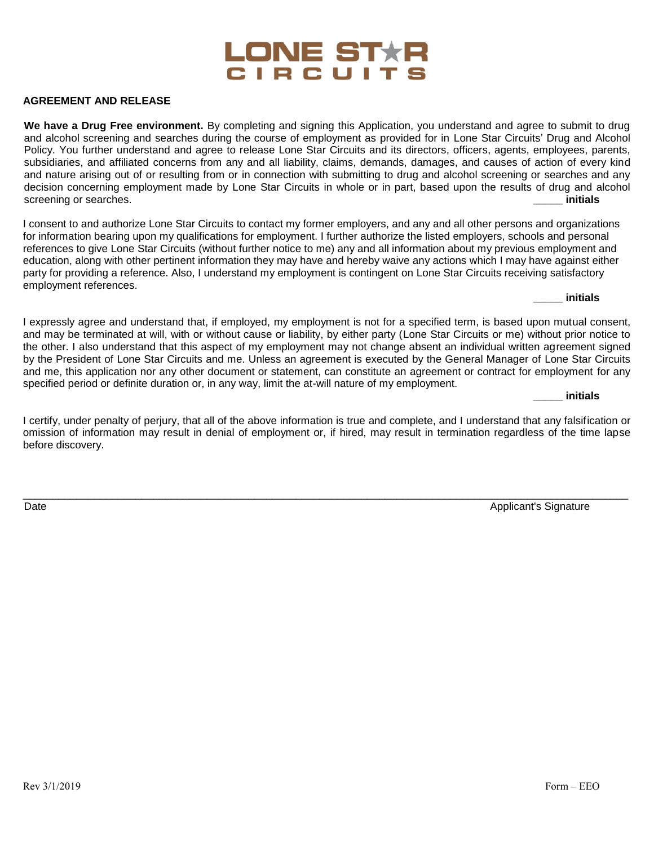# **AGREEMENT AND RELEASE**

**We have a Drug Free environment.** By completing and signing this Application, you understand and agree to submit to drug and alcohol screening and searches during the course of employment as provided for in Lone Star Circuits' Drug and Alcohol Policy. You further understand and agree to release Lone Star Circuits and its directors, officers, agents, employees, parents, subsidiaries, and affiliated concerns from any and all liability, claims, demands, damages, and causes of action of every kind and nature arising out of or resulting from or in connection with submitting to drug and alcohol screening or searches and any decision concerning employment made by Lone Star Circuits in whole or in part, based upon the results of drug and alcohol screening or searches. **\_\_\_\_\_ initials**

I consent to and authorize Lone Star Circuits to contact my former employers, and any and all other persons and organizations for information bearing upon my qualifications for employment. I further authorize the listed employers, schools and personal references to give Lone Star Circuits (without further notice to me) any and all information about my previous employment and education, along with other pertinent information they may have and hereby waive any actions which I may have against either party for providing a reference. Also, I understand my employment is contingent on Lone Star Circuits receiving satisfactory employment references. **\_\_\_\_\_ initials**

I expressly agree and understand that, if employed, my employment is not for a specified term, is based upon mutual consent, and may be terminated at will, with or without cause or liability, by either party (Lone Star Circuits or me) without prior notice to the other. I also understand that this aspect of my employment may not change absent an individual written agreement signed by the President of Lone Star Circuits and me. Unless an agreement is executed by the General Manager of Lone Star Circuits and me, this application nor any other document or statement, can constitute an agreement or contract for employment for any specified period or definite duration or, in any way, limit the at-will nature of my employment.

**\_\_\_\_\_ initials**

I certify, under penalty of perjury, that all of the above information is true and complete, and I understand that any falsification or omission of information may result in denial of employment or, if hired, may result in termination regardless of the time lapse before discovery.

\_\_\_\_\_\_\_\_\_\_\_\_\_\_\_\_\_\_\_\_\_\_\_\_\_\_\_\_\_\_\_\_\_\_\_\_\_\_\_\_\_\_\_\_\_\_\_\_\_\_\_\_\_\_\_\_\_\_\_\_\_\_\_\_\_\_\_\_\_\_\_\_\_\_\_\_\_\_\_\_\_\_\_\_\_\_\_\_\_\_\_\_\_\_\_\_\_\_\_\_\_\_

Date **Applicant's Signature** Contract Contract Contract Contract Contract Contract Contract Contract Contract Contract Contract Contract Contract Contract Contract Contract Contract Contract Contract Contract Contract Cont

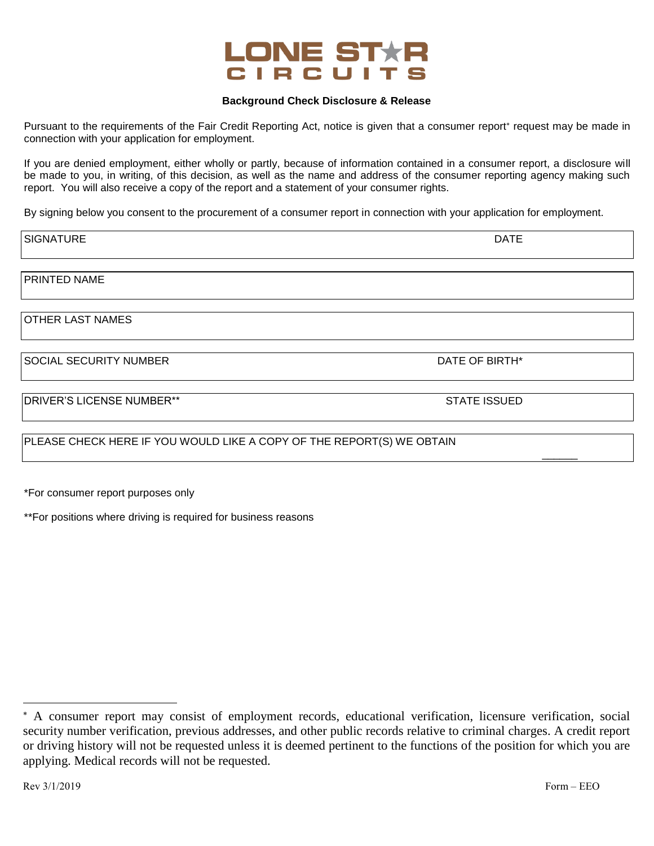

## **Background Check Disclosure & Release**

Pursuant to the requirements of the Fair Credit Reporting Act, notice is given that a consumer report request may be made in connection with your application for employment.

If you are denied employment, either wholly or partly, because of information contained in a consumer report, a disclosure will be made to you, in writing, of this decision, as well as the name and address of the consumer reporting agency making such report. You will also receive a copy of the report and a statement of your consumer rights.

By signing below you consent to the procurement of a consumer report in connection with your application for employment.

| <b>SIGNATURE</b> | DATE |
|------------------|------|
|                  |      |

PRINTED NAME

OTHER LAST NAMES

SOCIAL SECURITY NUMBER **EXECUTE OF BIRTH\*** DATE OF BIRTH\*

 $\frac{1}{\sqrt{2}}$ 

DRIVER'S LICENSE NUMBER\*\* STATE ISSUED

PLEASE CHECK HERE IF YOU WOULD LIKE A COPY OF THE REPORT(S) WE OBTAIN

\*For consumer report purposes only

\*\*For positions where driving is required for business reasons

l

A consumer report may consist of employment records, educational verification, licensure verification, social security number verification, previous addresses, and other public records relative to criminal charges. A credit report or driving history will not be requested unless it is deemed pertinent to the functions of the position for which you are applying. Medical records will not be requested.